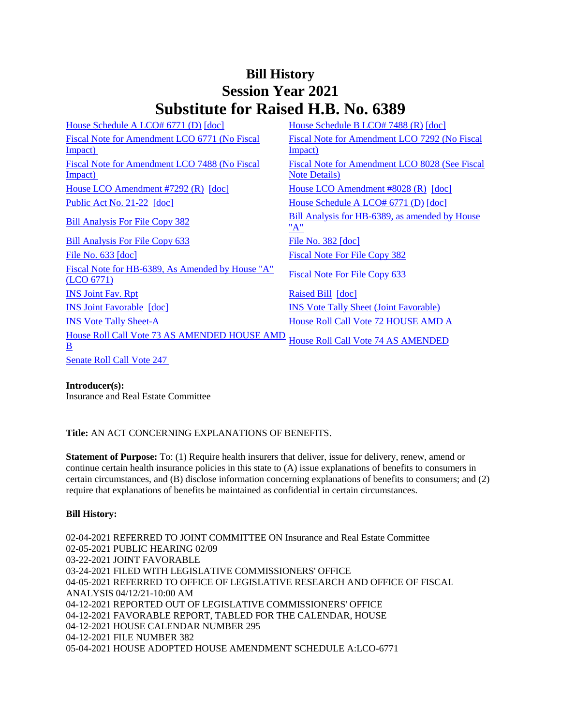## **Bill History Session Year 2021 Substitute for Raised H.B. No. 6389**

| House Schedule A LCO# 6771 (D) [doc]                                            | House Schedule B LCO# 7488 (R) [doc]                  |
|---------------------------------------------------------------------------------|-------------------------------------------------------|
| Fiscal Note for Amendment LCO 6771 (No Fiscal                                   | Fiscal Note for Amendment LCO 7292 (No Fiscal         |
| Impact)                                                                         | <u>Impact)</u>                                        |
| Fiscal Note for Amendment LCO 7488 (No Fiscal                                   | Fiscal Note for Amendment LCO 8028 (See Fiscal        |
| Impact)                                                                         | <b>Note Details</b> )                                 |
| House LCO Amendment #7292 (R) [doc]                                             | House LCO Amendment $#8028$ (R) $[doc]$               |
| Public Act No. $21-22$ [doc]                                                    | House Schedule A LCO# 6771 (D) [doc]                  |
| <b>Bill Analysis For File Copy 382</b>                                          | Bill Analysis for HB-6389, as amended by House<br>"A" |
| Bill Analysis For File Copy 633                                                 | File No. $382$ [doc]                                  |
| File No. $633$ $\lceil \text{doc} \rceil$                                       | <b>Fiscal Note For File Copy 382</b>                  |
| Fiscal Note for HB-6389, As Amended by House "A"<br>(LO 6771)                   | Fiscal Note For File Copy 633                         |
| <b>INS Joint Fav. Rpt</b>                                                       | Raised Bill [doc]                                     |
| <b>INS Joint Favorable [doc]</b>                                                | <b>INS Vote Tally Sheet (Joint Favorable)</b>         |
| <b>INS Vote Tally Sheet-A</b>                                                   | House Roll Call Vote 72 HOUSE AMD A                   |
| <b>House Roll Call Vote 73 AS AMENDED HOUSE AMD</b><br>$\underline{\mathbf{B}}$ | <b>House Roll Call Vote 74 AS AMENDED</b>             |
| <b>Senate Roll Call Vote 247</b>                                                |                                                       |

## **Introducer(s):**

Insurance and Real Estate Committee

**Title:** AN ACT CONCERNING EXPLANATIONS OF BENEFITS.

**Statement of Purpose:** To: (1) Require health insurers that deliver, issue for delivery, renew, amend or continue certain health insurance policies in this state to (A) issue explanations of benefits to consumers in certain circumstances, and (B) disclose information concerning explanations of benefits to consumers; and (2) require that explanations of benefits be maintained as confidential in certain circumstances.

## **Bill History:**

02-04-2021 REFERRED TO JOINT COMMITTEE ON Insurance and Real Estate Committee 02-05-2021 PUBLIC HEARING 02/09 03-22-2021 JOINT FAVORABLE 03-24-2021 FILED WITH LEGISLATIVE COMMISSIONERS' OFFICE 04-05-2021 REFERRED TO OFFICE OF LEGISLATIVE RESEARCH AND OFFICE OF FISCAL ANALYSIS 04/12/21-10:00 AM 04-12-2021 REPORTED OUT OF LEGISLATIVE COMMISSIONERS' OFFICE 04-12-2021 FAVORABLE REPORT, TABLED FOR THE CALENDAR, HOUSE 04-12-2021 HOUSE CALENDAR NUMBER 295 04-12-2021 FILE NUMBER 382 05-04-2021 HOUSE ADOPTED HOUSE AMENDMENT SCHEDULE A:LCO-6771